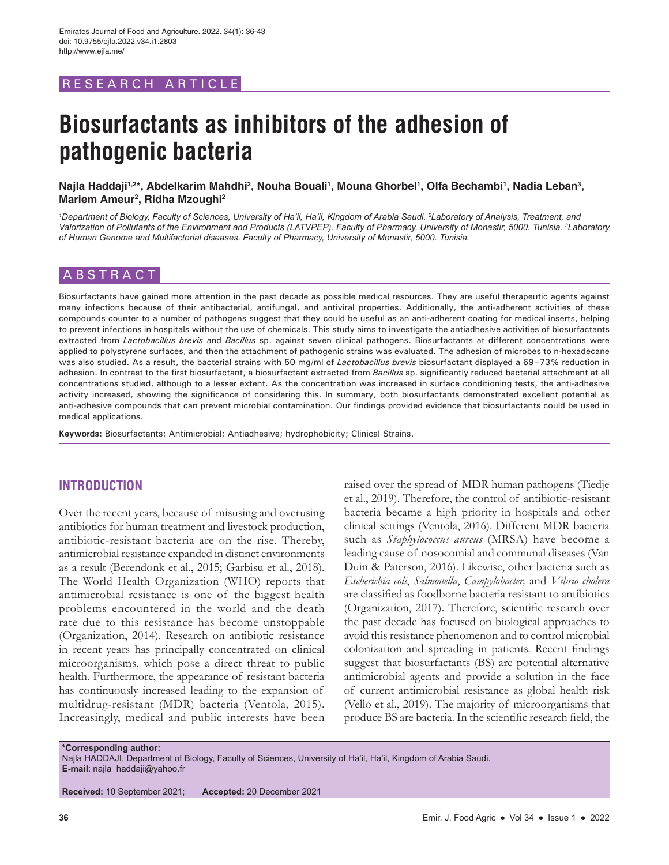# RESEARCH ARTICLE

# **Biosurfactants as inhibitors of the adhesion of pathogenic bacteria**

## Najla Haddaji<sup>1,2</sup>\*, Abdelkarim Mahdhi<sup>2</sup>, Nouha Bouali<sup>ı</sup>, Mouna Ghorbel<sup>ı</sup>, Olfa Bechambi<sup>ı</sup>, Nadia Leban<sup>3</sup>, **Mariem Ameur2 , Ridha Mzoughi2**

*1 Department of Biology, Faculty of Sciences, University of Ha'il, Ha'il, Kingdom of Arabia Saudi. 2 Laboratory of Analysis, Treatment, and Valorization of Pollutants of the Environment and Products (LATVPEP). Faculty of Pharmacy, University of Monastir, 5000. Tunisia. 3 Laboratory of Human Genome and Multifactorial diseases. Faculty of Pharmacy, University of Monastir, 5000. Tunisia.*

# ABSTRACT

Biosurfactants have gained more attention in the past decade as possible medical resources. They are useful therapeutic agents against many infections because of their antibacterial, antifungal, and antiviral properties. Additionally, the anti-adherent activities of these compounds counter to a number of pathogens suggest that they could be useful as an anti-adherent coating for medical inserts, helping to prevent infections in hospitals without the use of chemicals. This study aims to investigate the antiadhesive activities of biosurfactants extracted from *Lactobacillus brevis* and *Bacillus* sp. against seven clinical pathogens. Biosurfactants at different concentrations were applied to polystyrene surfaces, and then the attachment of pathogenic strains was evaluated. The adhesion of microbes to n-hexadecane was also studied. As a result, the bacterial strains with 50 mg/ml of *Lactobacillus brevis* biosurfactant displayed a 69–73% reduction in adhesion. In contrast to the first biosurfactant, a biosurfactant extracted from *Bacillus* sp. significantly reduced bacterial attachment at all concentrations studied, although to a lesser extent. As the concentration was increased in surface conditioning tests, the anti-adhesive activity increased, showing the significance of considering this. In summary, both biosurfactants demonstrated excellent potential as anti-adhesive compounds that can prevent microbial contamination. Our findings provided evidence that biosurfactants could be used in medical applications.

**Keywords:** Biosurfactants; Antimicrobial; Antiadhesive; hydrophobicity; Clinical Strains.

# **INTRODUCTION**

Over the recent years, because of misusing and overusing antibiotics for human treatment and livestock production, antibiotic-resistant bacteria are on the rise. Thereby, antimicrobial resistance expanded in distinct environments as a result (Berendonk et al., 2015; Garbisu et al., 2018). The World Health Organization (WHO) reports that antimicrobial resistance is one of the biggest health problems encountered in the world and the death rate due to this resistance has become unstoppable (Organization, 2014). Research on antibiotic resistance in recent years has principally concentrated on clinical microorganisms, which pose a direct threat to public health. Furthermore, the appearance of resistant bacteria has continuously increased leading to the expansion of multidrug-resistant (MDR) bacteria (Ventola, 2015). Increasingly, medical and public interests have been

raised over the spread of MDR human pathogens (Tiedje et al., 2019). Therefore, the control of antibiotic-resistant bacteria became a high priority in hospitals and other clinical settings (Ventola, 2016). Different MDR bacteria such as *Staphylococcus aureus* (MRSA) have become a leading cause of nosocomial and communal diseases (Van Duin & Paterson, 2016). Likewise, other bacteria such as *Escherichia coli*, *Salmonella*, *Campylobacter,* and *Vibrio cholera* are classified as foodborne bacteria resistant to antibiotics (Organization, 2017). Therefore, scientific research over the past decade has focused on biological approaches to avoid this resistance phenomenon and to control microbial colonization and spreading in patients. Recent findings suggest that biosurfactants (BS) are potential alternative antimicrobial agents and provide a solution in the face of current antimicrobial resistance as global health risk (Vello et al., 2019). The majority of microorganisms that produce BS are bacteria. In the scientific research field, the

**\*Corresponding author:** Najla HADDAJI, Department of Biology, Faculty of Sciences, University of Ha'il, Ha'il, Kingdom of Arabia Saudi. **E-mail**: najla\_haddaji@yahoo.fr

**Received:** 10 September 2021; **Accepted:** 20 December 2021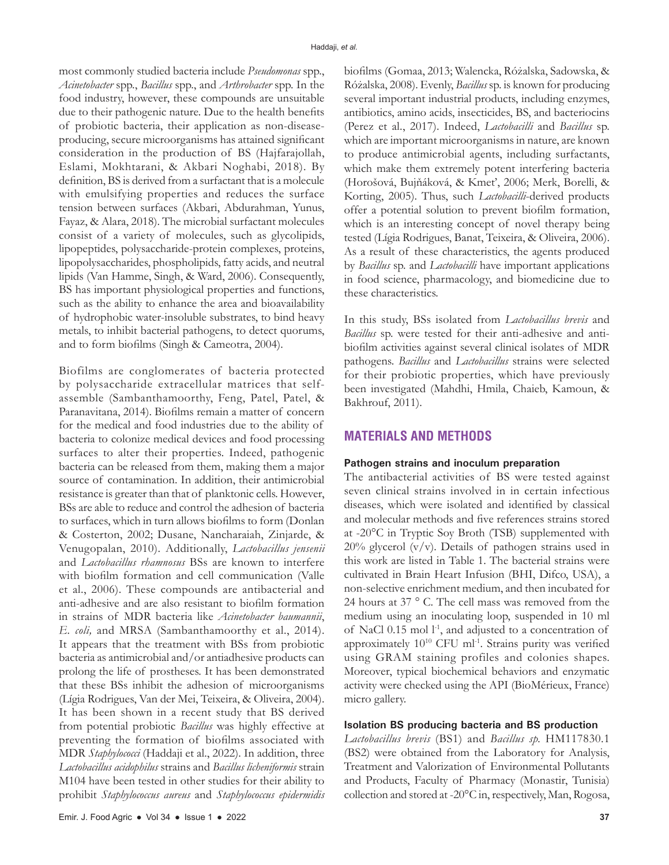most commonly studied bacteria include *Pseudomonas* spp., *Acinetobacter* spp., *Bacillus* spp., and *Arthrobacter* spp. In the food industry, however, these compounds are unsuitable due to their pathogenic nature. Due to the health benefits of probiotic bacteria, their application as non-diseaseproducing, secure microorganisms has attained significant consideration in the production of BS (Hajfarajollah, Eslami, Mokhtarani, & Akbari Noghabi, 2018). By definition, BS is derived from a surfactant that is a molecule with emulsifying properties and reduces the surface tension between surfaces (Akbari, Abdurahman, Yunus, Fayaz, & Alara, 2018). The microbial surfactant molecules consist of a variety of molecules, such as glycolipids, lipopeptides, polysaccharide-protein complexes, proteins, lipopolysaccharides, phospholipids, fatty acids, and neutral lipids (Van Hamme, Singh, & Ward, 2006). Consequently, BS has important physiological properties and functions, such as the ability to enhance the area and bioavailability of hydrophobic water-insoluble substrates, to bind heavy metals, to inhibit bacterial pathogens, to detect quorums, and to form biofilms (Singh & Cameotra, 2004).

Biofilms are conglomerates of bacteria protected by polysaccharide extracellular matrices that selfassemble (Sambanthamoorthy, Feng, Patel, Patel, & Paranavitana, 2014). Biofilms remain a matter of concern for the medical and food industries due to the ability of bacteria to colonize medical devices and food processing surfaces to alter their properties. Indeed, pathogenic bacteria can be released from them, making them a major source of contamination. In addition, their antimicrobial resistance is greater than that of planktonic cells. However, BSs are able to reduce and control the adhesion of bacteria to surfaces, which in turn allows biofilms to form (Donlan & Costerton, 2002; Dusane, Nancharaiah, Zinjarde, & Venugopalan, 2010). Additionally, *Lactobacillus jensenii* and *Lactobacillus rhamnosus* BSs are known to interfere with biofilm formation and cell communication (Valle et al., 2006). These compounds are antibacterial and anti-adhesive and are also resistant to biofilm formation in strains of MDR bacteria like *Acinetobacter baumannii*, *E. coli,* and MRSA (Sambanthamoorthy et al., 2014). It appears that the treatment with BSs from probiotic bacteria as antimicrobial and/or antiadhesive products can prolong the life of prostheses. It has been demonstrated that these BSs inhibit the adhesion of microorganisms (Lígia Rodrigues, Van der Mei, Teixeira, & Oliveira, 2004). It has been shown in a recent study that BS derived from potential probiotic *Bacillus* was highly effective at preventing the formation of biofilms associated with MDR *Staphylococci* (Haddaji et al., 2022). In addition, three *Lactobacillus acidophilus* strains and *Bacillus licheniformis* strain M104 have been tested in other studies for their ability to prohibit *Staphylococcus aureus* and *Staphylococcus epidermidis*

biofilms (Gomaa, 2013; Walencka, Różalska, Sadowska, & Różalska, 2008). Evenly, *Bacillus* sp. is known for producing several important industrial products, including enzymes, antibiotics, amino acids, insecticides, BS, and bacteriocins (Perez et al., 2017). Indeed, *Lactobacilli* and *Bacillus* sp. which are important microorganisms in nature, are known to produce antimicrobial agents, including surfactants, which make them extremely potent interfering bacteria (Horošová, Bujňáková, & Kmeť, 2006; Merk, Borelli, & Korting, 2005). Thus, such *Lactobacilli*-derived products offer a potential solution to prevent biofilm formation, which is an interesting concept of novel therapy being tested (Lígia Rodrigues, Banat, Teixeira, & Oliveira, 2006). As a result of these characteristics, the agents produced by *Bacillus* sp. and *Lactobacilli* have important applications in food science, pharmacology, and biomedicine due to these characteristics.

In this study, BSs isolated from *Lactobacillus brevis* and *Bacillus* sp. were tested for their anti-adhesive and antibiofilm activities against several clinical isolates of MDR pathogens. *Bacillus* and *Lactobacillus* strains were selected for their probiotic properties, which have previously been investigated (Mahdhi, Hmila, Chaieb, Kamoun, & Bakhrouf, 2011).

## **MATERIALS AND METHODS**

#### **Pathogen strains and inoculum preparation**

The antibacterial activities of BS were tested against seven clinical strains involved in in certain infectious diseases, which were isolated and identified by classical and molecular methods and five references strains stored at -20°C in Tryptic Soy Broth (TSB) supplemented with  $20\%$  glycerol (v/v). Details of pathogen strains used in this work are listed in Table 1. The bacterial strains were cultivated in Brain Heart Infusion (BHI, Difco, USA), a non-selective enrichment medium, and then incubated for 24 hours at 37 ° C. The cell mass was removed from the medium using an inoculating loop, suspended in 10 ml of NaCl 0.15 mol l<sup>-1</sup>, and adjusted to a concentration of approximately  $10^{10}$  CFU ml<sup>-1</sup>. Strains purity was verified using GRAM staining profiles and colonies shapes. Moreover, typical biochemical behaviors and enzymatic activity were checked using the API (BioMérieux, France) micro gallery.

## **Isolation BS producing bacteria and BS production**

*Lactobacillus brevis* (BS1) and *Bacillus sp.* HM117830.1 (BS2) were obtained from the Laboratory for Analysis, Treatment and Valorization of Environmental Pollutants and Products, Faculty of Pharmacy (Monastir, Tunisia) collection and stored at -20°C in, respectively, Man, Rogosa,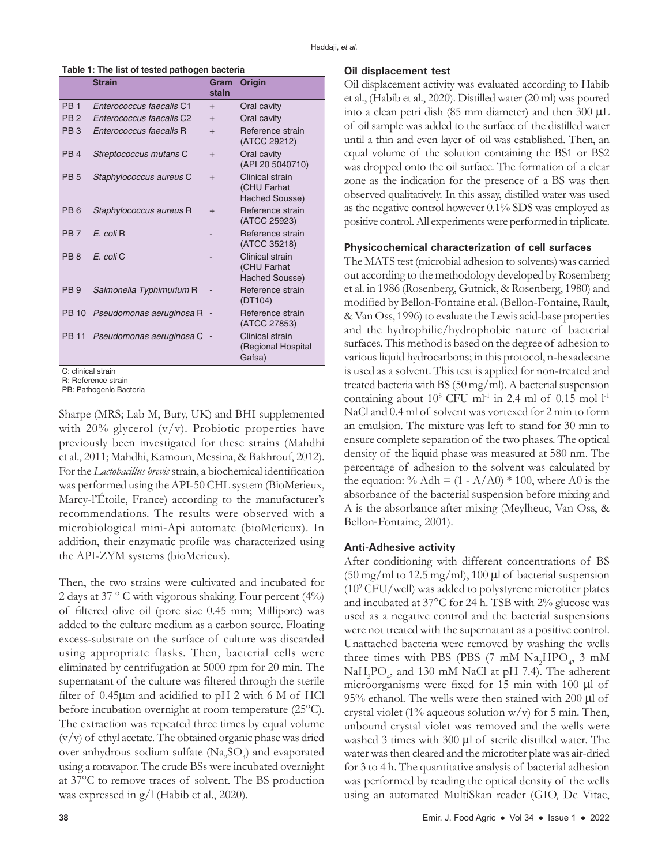**Table 1: The list of tested pathogen bacteria**

|                 | <b>Strain</b>            | Gram<br>stain | Origin                                           |
|-----------------|--------------------------|---------------|--------------------------------------------------|
| <b>PB1</b>      | Enterococcus faecalis C1 | $+$           | Oral cavity                                      |
| PB <sub>2</sub> | Enterococcus faecalis C2 | $^{+}$        | Oral cavity                                      |
| PB <sub>3</sub> | Enterococcus faecalis R  | $+$           | Reference strain<br>(ATCC 29212)                 |
| PB <sub>4</sub> | Streptococcus mutans C   | $+$           | Oral cavity<br>(API 20 5040710)                  |
| <b>PB5</b>      | Staphylococcus aureus C  | $+$           | Clinical strain<br>(CHU Farhat<br>Hached Sousse) |
| PB <sub>6</sub> | Staphylococcus aureus R  | $^{+}$        | Reference strain<br>(ATCC 25923)                 |
| PB <sub>7</sub> | E. coli R                |               | Reference strain<br>(ATCC 35218)                 |
| PB 8            | E. coli C                |               | Clinical strain<br>(CHU Farhat<br>Hached Sousse) |
| PB <sub>9</sub> | Salmonella Typhimurium R |               | Reference strain<br>(DT104)                      |
| <b>PB 10</b>    | Pseudomonas aeruginosa R |               | Reference strain<br>(ATCC 27853)                 |
| PB 11           | Pseudomonas aeruginosa C |               | Clinical strain<br>(Regional Hospital<br>Gafsa)  |

C: clinical strain

R: Reference strain PB: Pathogenic Bacteria

Sharpe (MRS; Lab M, Bury, UK) and BHI supplemented with 20% glycerol  $(v/v)$ . Probiotic properties have previously been investigated for these strains (Mahdhi et al., 2011; Mahdhi, Kamoun, Messina, & Bakhrouf, 2012). For the *Lactobacillus brevis* strain, a biochemical identification was performed using the API-50 CHL system (BioMerieux, Marcy-l'Étoile, France) according to the manufacturer's recommendations. The results were observed with a microbiological mini-Api automate (bioMerieux). In addition, their enzymatic profile was characterized using the API-ZYM systems (bioMerieux).

Then, the two strains were cultivated and incubated for 2 days at 37 ° C with vigorous shaking. Four percent (4%) of filtered olive oil (pore size 0.45 mm; Millipore) was added to the culture medium as a carbon source. Floating excess-substrate on the surface of culture was discarded using appropriate flasks. Then, bacterial cells were eliminated by centrifugation at 5000 rpm for 20 min. The supernatant of the culture was filtered through the sterile filter of 0.45µm and acidified to pH 2 with 6 M of HCl before incubation overnight at room temperature (25°C). The extraction was repeated three times by equal volume (v/v) of ethyl acetate. The obtained organic phase was dried over anhydrous sodium sulfate  $(Na_2SO_4)$  and evaporated using a rotavapor. The crude BSs were incubated overnight at 37°C to remove traces of solvent. The BS production was expressed in g/l (Habib et al., 2020).

#### **Oil displacement test**

Oil displacement activity was evaluated according to Habib et al., (Habib et al., 2020). Distilled water (20 ml) was poured into a clean petri dish (85 mm diameter) and then 300 µL of oil sample was added to the surface of the distilled water until a thin and even layer of oil was established. Then, an equal volume of the solution containing the BS1 or BS2 was dropped onto the oil surface. The formation of a clear zone as the indication for the presence of a BS was then observed qualitatively. In this assay, distilled water was used as the negative control however 0.1% SDS was employed as positive control. All experiments were performed in triplicate.

#### **Physicochemical characterization of cell surfaces**

The MATS test (microbial adhesion to solvents) was carried out according to the methodology developed by Rosemberg et al. in 1986 (Rosenberg, Gutnick, & Rosenberg, 1980) and modified by Bellon-Fontaine et al. (Bellon-Fontaine, Rault, & Van Oss, 1996) to evaluate the Lewis acid-base properties and the hydrophilic/hydrophobic nature of bacterial surfaces. This method is based on the degree of adhesion to various liquid hydrocarbons; in this protocol, n-hexadecane is used as a solvent. This test is applied for non-treated and treated bacteria with BS (50 mg/ml). A bacterial suspension containing about  $10^8$  CFU ml<sup>-1</sup> in 2.4 ml of 0.15 mol l<sup>-1</sup> NaCl and 0.4 ml of solvent was vortexed for 2 min to form an emulsion. The mixture was left to stand for 30 min to ensure complete separation of the two phases. The optical density of the liquid phase was measured at 580 nm. The percentage of adhesion to the solvent was calculated by the equation: % Adh =  $(1 - A/A0) * 100$ , where A0 is the absorbance of the bacterial suspension before mixing and A is the absorbance after mixing (Meylheuc, Van Oss, & Bellon‐Fontaine, 2001).

### **Anti-Adhesive activity**

After conditioning with different concentrations of BS  $(50 \text{ mg/ml}$  to 12.5 mg/ml), 100  $\mu$ l of bacterial suspension (109 CFU/well) was added to polystyrene microtiter plates and incubated at 37°C for 24 h. TSB with 2% glucose was used as a negative control and the bacterial suspensions were not treated with the supernatant as a positive control. Unattached bacteria were removed by washing the wells three times with PBS (PBS (7 mM  $\text{Na}_{2}\text{HPO}_{4}$ , 3 mM NaH<sub>2</sub>PO<sub>4</sub>, and 130 mM NaCl at pH 7.4). The adherent microorganisms were fixed for 15 min with 100 µl of 95% ethanol. The wells were then stained with 200 µl of crystal violet (1% aqueous solution  $w/v$ ) for 5 min. Then, unbound crystal violet was removed and the wells were washed 3 times with 300  $\mu$ l of sterile distilled water. The water was then cleared and the microtiter plate was air-dried for 3 to 4 h. The quantitative analysis of bacterial adhesion was performed by reading the optical density of the wells using an automated MultiSkan reader (GIO, De Vitae,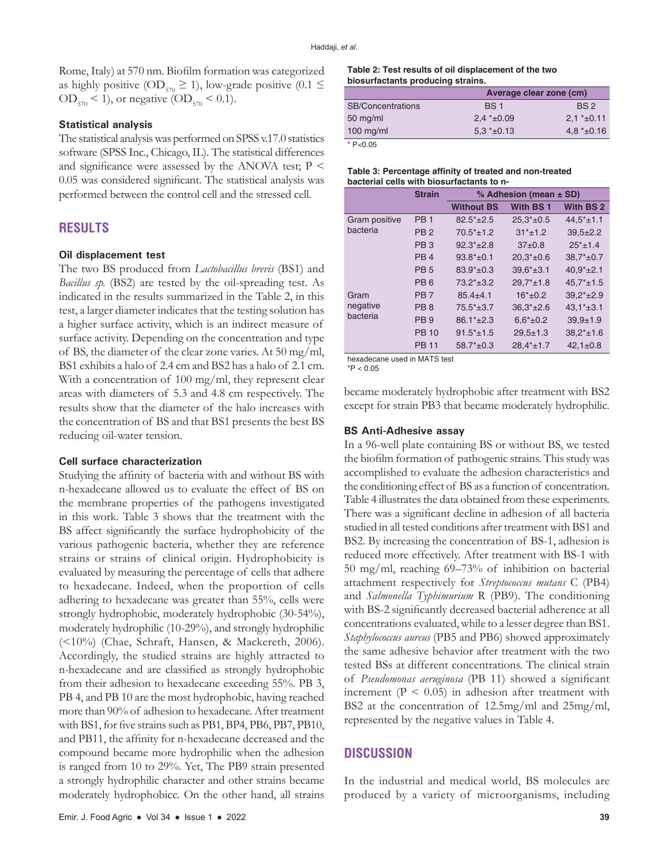Rome, Italy) at 570 nm. Biofilm formation was categorized as highly positive (OD<sub>570</sub>  $\geq$  1), low-grade positive (0.1  $\leq$  $OD_{570}$  < 1), or negative (OD<sub>570</sub> < 0.1).

## **Statistical analysis**

The statistical analysis was performed on SPSS v.17.0 statistics software (SPSS Inc., Chicago, IL). The statistical differences and significance were assessed by the ANOVA test;  $P \leq$ 0.05 was considered significant. The statistical analysis was performed between the control cell and the stressed cell.

# **RESULTS**

#### **Oil displacement test**

The two BS produced from *Lactobacillus brevis* (BS1) and *Bacillus sp.* (BS2) are tested by the oil-spreading test. As indicated in the results summarized in the Table 2, in this test, a larger diameter indicates that the testing solution has a higher surface activity, which is an indirect measure of surface activity. Depending on the concentration and type of BS, the diameter of the clear zone varies. At 50 mg/ml, BS1 exhibits a halo of 2.4 cm and BS2 has a halo of 2.1 cm. With a concentration of 100 mg/ml, they represent clear areas with diameters of 5.3 and 4.8 cm respectively. The results show that the diameter of the halo increases with the concentration of BS and that BS1 presents the best BS reducing oil-water tension.

## **Cell surface characterization**

Studying the affinity of bacteria with and without BS with n-hexadecane allowed us to evaluate the effect of BS on the membrane properties of the pathogens investigated in this work. Table 3 shows that the treatment with the BS affect significantly the surface hydrophobicity of the various pathogenic bacteria, whether they are reference strains or strains of clinical origin. Hydrophobicity is evaluated by measuring the percentage of cells that adhere to hexadecane. Indeed, when the proportion of cells adhering to hexadecane was greater than 55%, cells were strongly hydrophobic, moderately hydrophobic (30-54%), moderately hydrophilic (10-29%), and strongly hydrophilic (<10%) (Chae, Schraft, Hansen, & Mackereth, 2006). Accordingly, the studied strains are highly attracted to n-hexadecane and are classified as strongly hydrophobic from their adhesion to hexadecane exceeding 55%. PB 3, PB 4, and PB 10 are the most hydrophobic, having reached more than 90% of adhesion to hexadecane. After treatment with BS1, for five strains such as PB1, BP4, PB6, PB7, PB10, and PB11, the affinity for n-hexadecane decreased and the compound became more hydrophilic when the adhesion is ranged from 10 to 29%. Yet, The PB9 strain presented a strongly hydrophilic character and other strains became moderately hydrophobicc. On the other hand, all strains **Table 2: Test results of oil displacement of the two biosurfactants producing strains.**

|                          | Average clear zone (cm) |                 |  |  |
|--------------------------|-------------------------|-----------------|--|--|
| <b>SB/Concentrations</b> | <b>BS1</b>              | BS <sub>2</sub> |  |  |
| $50 \text{ mg/ml}$       | $2.4*+0.09$             | $2.1 * + 0.11$  |  |  |
| $100$ mg/ml              | $5.3*+0.13$             | $4.8*+0.16$     |  |  |
| * $P < 0.05$             |                         |                 |  |  |

| Table 3: Percentage affinity of treated and non-treated |
|---------------------------------------------------------|
| bacterial cells with biosurfactants to n-               |

|               | <b>Strain</b>   | % Adhesion (mean $\pm$ SD) |                      |                  |  |
|---------------|-----------------|----------------------------|----------------------|------------------|--|
|               |                 | <b>Without BS</b>          | With BS <sub>1</sub> | <b>With BS 2</b> |  |
| Gram positive | PB <sub>1</sub> | $82.5*+2.5$                | $25.3*+0.5$          | $44.5* \pm 1.1$  |  |
| bacteria      | PB <sub>2</sub> | $70.5*+1.2$                | $31* + 1.2$          | $39.5 \pm 2.2$   |  |
|               | PB <sub>3</sub> | $92.3*+2.8$                | $37+0.8$             | $25*+1.4$        |  |
|               | PB <sub>4</sub> | $93.8*+0.1$                | $20.3*+0.6$          | $38.7* \pm 0.7$  |  |
|               | <b>PB5</b>      | $83.9*+0.3$                | $39.6*+3.1$          | $40.9*+2.1$      |  |
|               | PB <sub>6</sub> | $73.2*+3.2$                | $29.7*+1.8$          | $45.7* \pm 1.5$  |  |
| Gram          | PB <sub>7</sub> | $85.4 + 4.1$               | $16* + 0.2$          | $39.2*+2.9$      |  |
| negative      | PB <sub>8</sub> | $75.5*+3.7$                | $36.3*+2.6$          | $43.1* \pm 3.1$  |  |
| bacteria      | PB <sub>9</sub> | $86.1*+2.3$                | $6.6* \pm 0.2$       | $39.9 + 1.9$     |  |
|               | <b>PB 10</b>    | $91.5*+1.5$                | $29.5 \pm 1.3$       | $38.2* \pm 1.6$  |  |
|               | <b>PB 11</b>    | $58.7*+0.3$                | $28.4* \pm 1.7$      | $42.1 \pm 0.8$   |  |

hexadecane used in MATS test

 $*P < 0.05$ 

became moderately hydrophobic after treatment with BS2 except for strain PB3 that became moderately hydrophilic.

## **BS Anti-Adhesive assay**

In a 96-well plate containing BS or without BS, we tested the biofilm formation of pathogenic strains. This study was accomplished to evaluate the adhesion characteristics and the conditioning effect of BS as a function of concentration. Table 4 illustrates the data obtained from these experiments. There was a significant decline in adhesion of all bacteria studied in all tested conditions after treatment with BS1 and BS2. By increasing the concentration of BS-1, adhesion is reduced more effectively. After treatment with BS-1 with 50 mg/ml, reaching 69–73% of inhibition on bacterial attachment respectively for *Streptococcus mutans* C (PB4) and *Salmonella Typhimurium* R (PB9). The conditioning with BS-2 significantly decreased bacterial adherence at all concentrations evaluated, while to a lesser degree than BS1. *Staphylococcus aureus* (PB5 and PB6) showed approximately the same adhesive behavior after treatment with the two tested BSs at different concentrations. The clinical strain of *Pseudomonas aeruginosa* (PB 11) showed a significant increment ( $P < 0.05$ ) in adhesion after treatment with BS2 at the concentration of 12.5mg/ml and 25mg/ml, represented by the negative values in Table 4.

## **DISCUSSION**

In the industrial and medical world, BS molecules are produced by a variety of microorganisms, including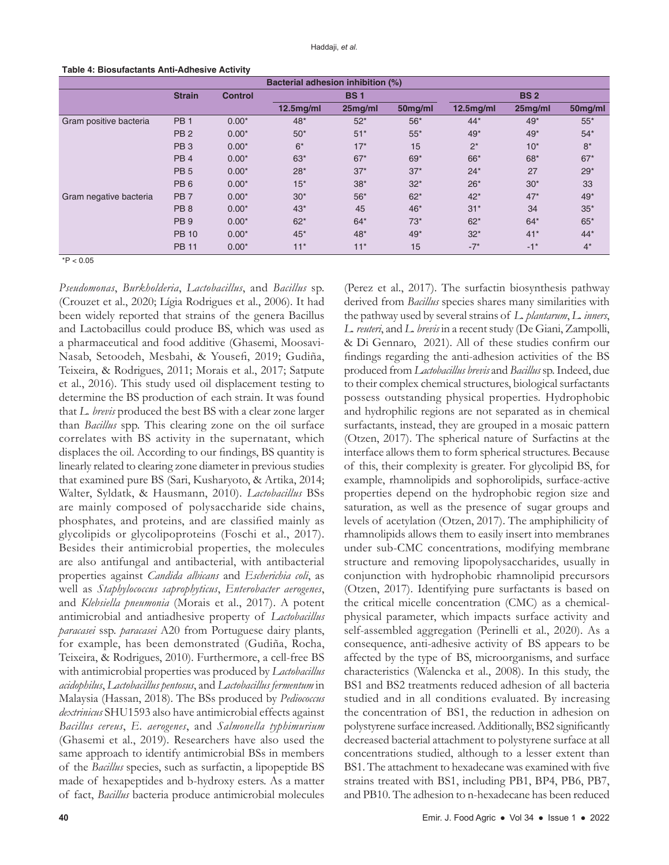| Bacterial adhesion inhibition (%) |                 |                |              |         |            |              |                   |         |
|-----------------------------------|-----------------|----------------|--------------|---------|------------|--------------|-------------------|---------|
|                                   | <b>Strain</b>   | <b>Control</b> | <b>BS1</b>   |         | <b>BS2</b> |              |                   |         |
|                                   |                 |                | $12.5$ mg/ml | 25mg/ml | 50mg/ml    | $12.5$ mg/ml | 25mg/ml           | 50mg/ml |
| Gram positive bacteria            | PB <sub>1</sub> | $0.00*$        | $48*$        | $52*$   | $56*$      | $44*$        | $49*$             | $55*$   |
|                                   | PB <sub>2</sub> | $0.00*$        | $50*$        | $51*$   | $55*$      | 49*          | $49*$             | $54*$   |
|                                   | PB <sub>3</sub> | $0.00*$        | $6*$         | $17*$   | 15         | $2^*$        | $10*$             | $8*$    |
|                                   | PB <sub>4</sub> | $0.00*$        | $63*$        | $67*$   | $69*$      | 66*          | 68*               | $67*$   |
|                                   | PB <sub>5</sub> | $0.00*$        | $28*$        | $37*$   | $37*$      | $24*$        | 27                | $29*$   |
|                                   | PB <sub>6</sub> | $0.00*$        | $15*$        | $38*$   | $32*$      | $26*$        | $30*$             | 33      |
| Gram negative bacteria            | PB <sub>7</sub> | $0.00*$        | $30*$        | $56*$   | $62*$      | $42*$        | $47*$             | 49*     |
|                                   | PB <sub>8</sub> | $0.00*$        | $43*$        | 45      | 46*        | $31*$        | 34                | $35*$   |
|                                   | PB <sub>9</sub> | $0.00*$        | $62*$        | $64*$   | $73*$      | $62*$        | $64*$             | $65*$   |
|                                   | <b>PB 10</b>    | $0.00*$        | $45*$        | 48*     | 49*        | $32*$        | $41*$             | $44*$   |
|                                   | <b>PB 11</b>    | $0.00*$        | $11*$        | $11*$   | 15         | $-7*$        | $-1$ <sup>*</sup> | $4^*$   |

#### **Table 4: Biosufactants Anti‑Adhesive Activity**

 $*P < 0.05$ 

*Pseudomonas*, *Burkholderia*, *Lactobacillus*, and *Bacillus* sp. (Crouzet et al., 2020; Lígia Rodrigues et al., 2006). It had been widely reported that strains of the genera Bacillus and Lactobacillus could produce BS, which was used as a pharmaceutical and food additive (Ghasemi, Moosavi-Nasab, Setoodeh, Mesbahi, & Yousefi, 2019; Gudiña, Teixeira, & Rodrigues, 2011; Morais et al., 2017; Satpute et al., 2016). This study used oil displacement testing to determine the BS production of each strain. It was found that *L. brevis* produced the best BS with a clear zone larger than *Bacillus* spp. This clearing zone on the oil surface correlates with BS activity in the supernatant, which displaces the oil. According to our findings, BS quantity is linearly related to clearing zone diameter in previous studies that examined pure BS (Sari, Kusharyoto, & Artika, 2014; Walter, Syldatk, & Hausmann, 2010). *Lactobacillus* BSs are mainly composed of polysaccharide side chains, phosphates, and proteins, and are classified mainly as glycolipids or glycolipoproteins (Foschi et al., 2017). Besides their antimicrobial properties, the molecules are also antifungal and antibacterial, with antibacterial properties against *Candida albicans* and *Escherichia coli*, as well as *Staphylococcus saprophyticus*, *Enterobacter aerogenes*, and *Klebsiella pneumonia* (Morais et al., 2017). A potent antimicrobial and antiadhesive property of *Lactobacillus paracasei* ssp. *paracasei* A20 from Portuguese dairy plants, for example, has been demonstrated (Gudiña, Rocha, Teixeira, & Rodrigues, 2010). Furthermore, a cell-free BS with antimicrobial properties was produced by *Lactobacillus acidophilus*, *Lactobacillus pentosus*, and *Lactobacillus fermentum* in Malaysia (Hassan, 2018). The BSs produced by *Pediococcus dextrinicus* SHU1593 also have antimicrobial effects against *Bacillus cereus*, *E. aerogenes*, and *Salmonella typhimurium* (Ghasemi et al., 2019). Researchers have also used the same approach to identify antimicrobial BSs in members of the *Bacillus* species, such as surfactin, a lipopeptide BS made of hexapeptides and b-hydroxy esters. As a matter of fact, *Bacillus* bacteria produce antimicrobial molecules

(Perez et al., 2017). The surfactin biosynthesis pathway derived from *Bacillus* species shares many similarities with the pathway used by several strains of *L. plantarum*, *L. inners*, *L. reuteri*, and *L. brevis* in a recent study (De Giani, Zampolli, & Di Gennaro, 2021). All of these studies confirm our findings regarding the anti-adhesion activities of the BS produced from *Lactobacillus brevis* and *Bacillus* sp. Indeed, due to their complex chemical structures, biological surfactants possess outstanding physical properties. Hydrophobic and hydrophilic regions are not separated as in chemical surfactants, instead, they are grouped in a mosaic pattern (Otzen, 2017). The spherical nature of Surfactins at the interface allows them to form spherical structures. Because of this, their complexity is greater. For glycolipid BS, for example, rhamnolipids and sophorolipids, surface-active properties depend on the hydrophobic region size and saturation, as well as the presence of sugar groups and levels of acetylation (Otzen, 2017). The amphiphilicity of rhamnolipids allows them to easily insert into membranes under sub-CMC concentrations, modifying membrane structure and removing lipopolysaccharides, usually in conjunction with hydrophobic rhamnolipid precursors (Otzen, 2017). Identifying pure surfactants is based on the critical micelle concentration (CMC) as a chemicalphysical parameter, which impacts surface activity and self-assembled aggregation (Perinelli et al., 2020). As a consequence, anti-adhesive activity of BS appears to be affected by the type of BS, microorganisms, and surface characteristics (Walencka et al., 2008). In this study, the BS1 and BS2 treatments reduced adhesion of all bacteria studied and in all conditions evaluated. By increasing the concentration of BS1, the reduction in adhesion on polystyrene surface increased.Additionally, BS2 significantly decreased bacterial attachment to polystyrene surface at all concentrations studied, although to a lesser extent than BS1. The attachment to hexadecane was examined with five strains treated with BS1, including PB1, BP4, PB6, PB7, and PB10. The adhesion to n-hexadecane has been reduced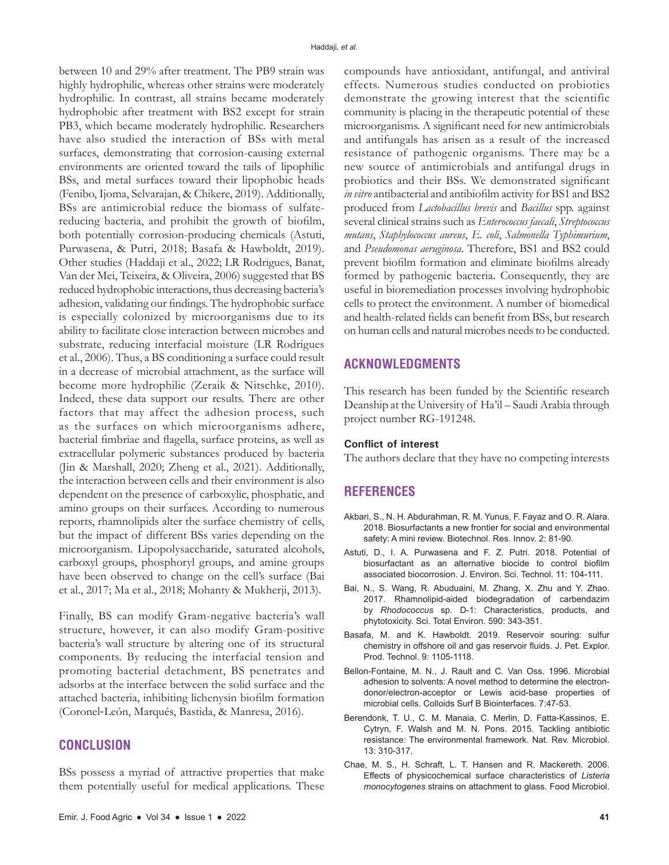between 10 and 29% after treatment. The PB9 strain was highly hydrophilic, whereas other strains were moderately hydrophilic. In contrast, all strains became moderately hydrophobic after treatment with BS2 except for strain PB3, which became moderately hydrophilic. Researchers have also studied the interaction of BSs with metal surfaces, demonstrating that corrosion-causing external environments are oriented toward the tails of lipophilic BSs, and metal surfaces toward their lipophobic heads (Fenibo, Ijoma, Selvarajan, & Chikere, 2019). Additionally, BSs are antimicrobial reduce the biomass of sulfatereducing bacteria, and prohibit the growth of biofilm, both potentially corrosion-producing chemicals (Astuti, Purwasena, & Putri, 2018; Basafa & Hawboldt, 2019). Other studies (Haddaji et al., 2022; LR Rodrigues, Banat, Van der Mei, Teixeira, & Oliveira, 2006) suggested that BS reduced hydrophobic interactions, thus decreasing bacteria's adhesion, validating our findings. The hydrophobic surface is especially colonized by microorganisms due to its ability to facilitate close interaction between microbes and substrate, reducing interfacial moisture (LR Rodrigues et al., 2006). Thus, a BS conditioning a surface could result in a decrease of microbial attachment, as the surface will become more hydrophilic (Zeraik & Nitschke, 2010). Indeed, these data support our results. There are other factors that may affect the adhesion process, such as the surfaces on which microorganisms adhere, bacterial fimbriae and flagella, surface proteins, as well as extracellular polymeric substances produced by bacteria (Jin & Marshall, 2020; Zheng et al., 2021). Additionally, the interaction between cells and their environment is also dependent on the presence of carboxylic, phosphatic, and amino groups on their surfaces. According to numerous reports, rhamnolipids alter the surface chemistry of cells, but the impact of different BSs varies depending on the microorganism. Lipopolysaccharide, saturated alcohols, carboxyl groups, phosphoryl groups, and amine groups have been observed to change on the cell's surface (Bai et al., 2017; Ma et al., 2018; Mohanty & Mukherji, 2013).

Finally, BS can modify Gram-negative bacteria's wall structure, however, it can also modify Gram-positive bacteria's wall structure by altering one of its structural components. By reducing the interfacial tension and promoting bacterial detachment, BS penetrates and adsorbs at the interface between the solid surface and the attached bacteria, inhibiting lichenysin biofilm formation (Coronel‐León, Marqués, Bastida, & Manresa, 2016).

# **CONCLUSION**

BSs possess a myriad of attractive properties that make them potentially useful for medical applications. These compounds have antioxidant, antifungal, and antiviral effects. Numerous studies conducted on probiotics demonstrate the growing interest that the scientific community is placing in the therapeutic potential of these microorganisms. A significant need for new antimicrobials and antifungals has arisen as a result of the increased resistance of pathogenic organisms. There may be a new source of antimicrobials and antifungal drugs in probiotics and their BSs. We demonstrated significant *in vitro* antibacterial and antibiofilm activity for BS1 and BS2 produced from *Lactobacillus brevis* and *Bacillus* spp. against several clinical strains such as *Enterococcus faecali*, *Streptococcus mutans*, *Staphylococcus aureus*, *E. coli*, *Salmonella Typhimurium*, and *Pseudomonas aeruginosa*. Therefore, BS1 and BS2 could prevent biofilm formation and eliminate biofilms already formed by pathogenic bacteria. Consequently, they are useful in bioremediation processes involving hydrophobic cells to protect the environment. A number of biomedical and health-related fields can benefit from BSs, but research on human cells and natural microbes needs to be conducted.

## **ACKNOWLEDGMENTS**

This research has been funded by the Scientific research Deanship at the University of Ha'il – Saudi Arabia through project number RG-191248.

## **Conflict of interest**

The authors declare that they have no competing interests

## **REFERENCES**

- Akbari, S., N. H. Abdurahman, R. M. Yunus, F. Fayaz and O. R. Alara. 2018. Biosurfactants a new frontier for social and environmental safety: A mini review. Biotechnol. Res. Innov. 2: 81-90.
- Astuti, D., I. A. Purwasena and F. Z. Putri. 2018. Potential of biosurfactant as an alternative biocide to control biofilm associated biocorrosion. J. Environ. Sci. Technol. 11: 104-111.
- Bai, N., S. Wang, R. Abuduaini, M. Zhang, X. Zhu and Y. Zhao. 2017. Rhamnolipid-aided biodegradation of carbendazim by *Rhodococcus* sp. D-1: Characteristics, products, and phytotoxicity. Sci. Total Environ. 590: 343-351.
- Basafa, M. and K. Hawboldt. 2019. Reservoir souring: sulfur chemistry in offshore oil and gas reservoir fluids. J. Pet. Explor. Prod. Technol. 9: 1105-1118.
- Bellon-Fontaine, M. N., J. Rault and C. Van Oss. 1996. Microbial adhesion to solvents: A novel method to determine the electrondonor/electron-acceptor or Lewis acid-base properties of microbial cells. Colloids Surf B Biointerfaces. 7:47-53.
- Berendonk, T. U., C. M. Manaia, C. Merlin, D. Fatta-Kassinos, E. Cytryn, F. Walsh and M. N. Pons. 2015. Tackling antibiotic resistance: The environmental framework. Nat. Rev. Microbiol. 13: 310-317.
- Chae, M. S., H. Schraft, L. T. Hansen and R. Mackereth. 2006. Effects of physicochemical surface characteristics of *Listeria monocytogenes* strains on attachment to glass. Food Microbiol.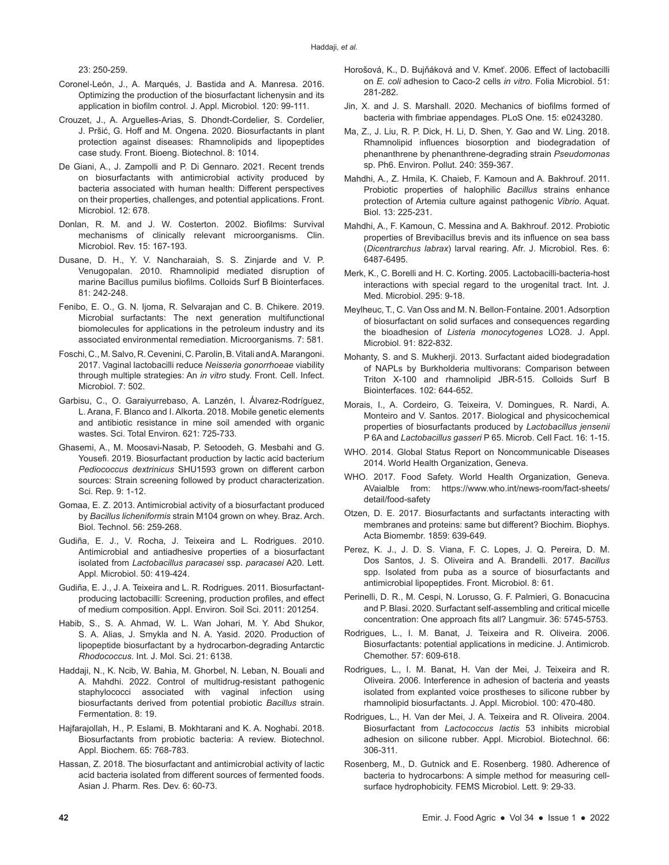23: 250-259.

- Coronel‐León, J., A. Marqués, J. Bastida and A. Manresa. 2016. Optimizing the production of the biosurfactant lichenysin and its application in biofilm control. J. Appl. Microbiol. 120: 99-111.
- Crouzet, J., A. Arguelles-Arias, S. Dhondt-Cordelier, S. Cordelier, J. Pršić, G. Hoff and M. Ongena. 2020. Biosurfactants in plant protection against diseases: Rhamnolipids and lipopeptides case study. Front. Bioeng. Biotechnol. 8: 1014.
- De Giani, A., J. Zampolli and P. Di Gennaro. 2021. Recent trends on biosurfactants with antimicrobial activity produced by bacteria associated with human health: Different perspectives on their properties, challenges, and potential applications. Front. Microbiol. 12: 678.
- Donlan, R. M. and J. W. Costerton. 2002. Biofilms: Survival mechanisms of clinically relevant microorganisms. Clin. Microbiol. Rev. 15: 167-193.
- Dusane, D. H., Y. V. Nancharaiah, S. S. Zinjarde and V. P. Venugopalan. 2010. Rhamnolipid mediated disruption of marine Bacillus pumilus biofilms. Colloids Surf B Biointerfaces. 81: 242-248.
- Fenibo, E. O., G. N. Ijoma, R. Selvarajan and C. B. Chikere. 2019. Microbial surfactants: The next generation multifunctional biomolecules for applications in the petroleum industry and its associated environmental remediation. Microorganisms. 7: 581.
- Foschi, C., M. Salvo, R. Cevenini, C. Parolin, B. Vitali and A. Marangoni. 2017. Vaginal lactobacilli reduce *Neisseria gonorrhoeae* viability through multiple strategies: An *in vitro* study. Front. Cell. Infect. Microbiol. 7: 502.
- Garbisu, C., O. Garaiyurrebaso, A. Lanzén, I. Álvarez-Rodríguez, L. Arana, F. Blanco and I. Alkorta. 2018. Mobile genetic elements and antibiotic resistance in mine soil amended with organic wastes. Sci. Total Environ. 621: 725-733.
- Ghasemi, A., M. Moosavi-Nasab, P. Setoodeh, G. Mesbahi and G. Yousefi. 2019. Biosurfactant production by lactic acid bacterium *Pediococcus dextrinicus* SHU1593 grown on different carbon sources: Strain screening followed by product characterization. Sci. Rep. 9: 1-12.
- Gomaa, E. Z. 2013. Antimicrobial activity of a biosurfactant produced by *Bacillus licheniformis* strain M104 grown on whey. Braz. Arch. Biol. Technol. 56: 259-268.
- Gudiña, E. J., V. Rocha, J. Teixeira and L. Rodrigues. 2010. Antimicrobial and antiadhesive properties of a biosurfactant isolated from *Lactobacillus paracasei* ssp. *paracasei* A20. Lett. Appl. Microbiol. 50: 419-424.
- Gudiña, E. J., J. A. Teixeira and L. R. Rodrigues. 2011. Biosurfactantproducing lactobacilli: Screening, production profiles, and effect of medium composition. Appl. Environ. Soil Sci. 2011: 201254.
- Habib, S., S. A. Ahmad, W. L. Wan Johari, M. Y. Abd Shukor, S. A. Alias, J. Smykla and N. A. Yasid. 2020. Production of lipopeptide biosurfactant by a hydrocarbon-degrading Antarctic *Rhodococcus*. Int. J. Mol. Sci. 21: 6138.
- Haddaji, N., K. Ncib, W. Bahia, M. Ghorbel, N. Leban, N. Bouali and A. Mahdhi. 2022. Control of multidrug-resistant pathogenic staphylococci associated with vaginal infection using biosurfactants derived from potential probiotic *Bacillus* strain. Fermentation. 8: 19.
- Hajfarajollah, H., P. Eslami, B. Mokhtarani and K. A. Noghabi. 2018. Biosurfactants from probiotic bacteria: A review. Biotechnol. Appl. Biochem. 65: 768-783.
- Hassan, Z. 2018. The biosurfactant and antimicrobial activity of lactic acid bacteria isolated from different sources of fermented foods. Asian J. Pharm. Res. Dev. 6: 60-73.
- Horošová, K., D. Bujňáková and V. Kmeť. 2006. Effect of lactobacilli on *E. coli* adhesion to Caco-2 cells *in vitro*. Folia Microbiol. 51: 281-282.
- Jin, X. and J. S. Marshall. 2020. Mechanics of biofilms formed of bacteria with fimbriae appendages. PLoS One. 15: e0243280.
- Ma, Z., J. Liu, R. P. Dick, H. Li, D. Shen, Y. Gao and W. Ling. 2018. Rhamnolipid influences biosorption and biodegradation of phenanthrene by phenanthrene-degrading strain *Pseudomonas* sp. Ph6. Environ. Pollut. 240: 359-367.
- Mahdhi, A., Z. Hmila, K. Chaieb, F. Kamoun and A. Bakhrouf. 2011. Probiotic properties of halophilic *Bacillus* strains enhance protection of Artemia culture against pathogenic *Vibrio*. Aquat. Biol. 13: 225-231.
- Mahdhi, A., F. Kamoun, C. Messina and A. Bakhrouf. 2012. Probiotic properties of Brevibacillus brevis and its influence on sea bass (*Dicentrarchus labrax*) larval rearing. Afr. J. Microbiol. Res. 6: 6487-6495.
- Merk, K., C. Borelli and H. C. Korting. 2005. Lactobacilli-bacteria-host interactions with special regard to the urogenital tract. Int. J. Med. Microbiol. 295: 9-18.
- Meylheuc, T., C. Van Oss and M. N. Bellon‐Fontaine. 2001. Adsorption of biosurfactant on solid surfaces and consequences regarding the bioadhesion of *Listeria monocytogenes* LO28. J. Appl. Microbiol. 91: 822-832.
- Mohanty, S. and S. Mukherji. 2013. Surfactant aided biodegradation of NAPLs by Burkholderia multivorans: Comparison between Triton X-100 and rhamnolipid JBR-515. Colloids Surf B Biointerfaces. 102: 644-652.
- Morais, I., A. Cordeiro, G. Teixeira, V. Domingues, R. Nardi, A. Monteiro and V. Santos. 2017. Biological and physicochemical properties of biosurfactants produced by *Lactobacillus jensenii* P 6A and *Lactobacillus gasseri* P 65. Microb. Cell Fact. 16: 1-15.
- WHO. 2014. Global Status Report on Noncommunicable Diseases 2014. World Health Organization, Geneva.
- WHO. 2017. Food Safety. World Health Organization, Geneva. AVaialble from: https://www.who.int/news-room/fact-sheets/ detail/food-safety
- Otzen, D. E. 2017. Biosurfactants and surfactants interacting with membranes and proteins: same but different? Biochim. Biophys. Acta Biomembr. 1859: 639-649.
- Perez, K. J., J. D. S. Viana, F. C. Lopes, J. Q. Pereira, D. M. Dos Santos, J. S. Oliveira and A. Brandelli. 2017. *Bacillus* spp. Isolated from puba as a source of biosurfactants and antimicrobial lipopeptides. Front. Microbiol. 8: 61.
- Perinelli, D. R., M. Cespi, N. Lorusso, G. F. Palmieri, G. Bonacucina and P. Blasi. 2020. Surfactant self-assembling and critical micelle concentration: One approach fits all? Langmuir. 36: 5745-5753.
- Rodrigues, L., I. M. Banat, J. Teixeira and R. Oliveira. 2006. Biosurfactants: potential applications in medicine. J. Antimicrob. Chemother. 57: 609-618.
- Rodrigues, L., I. M. Banat, H. Van der Mei, J. Teixeira and R. Oliveira. 2006. Interference in adhesion of bacteria and yeasts isolated from explanted voice prostheses to silicone rubber by rhamnolipid biosurfactants. J. Appl. Microbiol. 100: 470-480.
- Rodrigues, L., H. Van der Mei, J. A. Teixeira and R. Oliveira. 2004. Biosurfactant from *Lactococcus lactis* 53 inhibits microbial adhesion on silicone rubber. Appl. Microbiol. Biotechnol. 66: 306-311.
- Rosenberg, M., D. Gutnick and E. Rosenberg. 1980. Adherence of bacteria to hydrocarbons: A simple method for measuring cellsurface hydrophobicity. FEMS Microbiol. Lett. 9: 29-33.